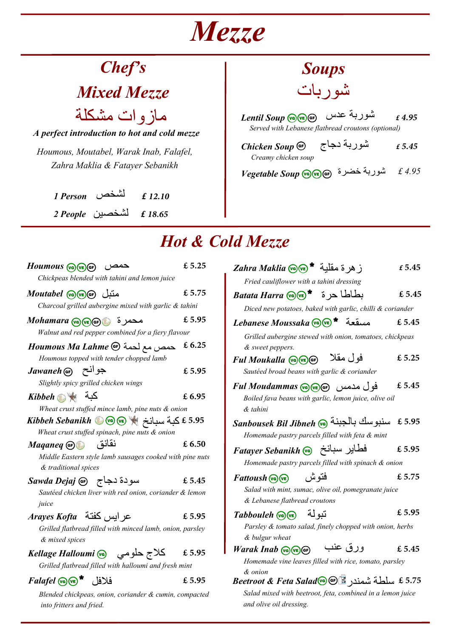# **Mezze**

# Chef'<sub>S</sub>

**Mixed Mezze**

**A perfect introduction to hot and cold mezze** مازوات مشكلة

Houmous, Moutabel, Warak Inab, Falafel, Zahra Maklia & Fatayer Sebanikh

> **1 Person £** لشΨص **2 People £** لشΨصϴن

## **Soups** شو ر بات

Served with Lebanese flatbread croutons (optional) **Lentil Soup** دسϋ ربةϮش **£**

| Chicken Soup $\bigcirc$ | شوربة دجاج | f 5.45 |
|-------------------------|------------|--------|
| Creamy chicken soup     |            |        |

 $Vegetable \, Soup \, \overset{\text{\textbf{(Q)}}_0}{\text{\textbf{(G)}}}$ شوربة خضرة £4.95

### **Hot & Cold Mezze**

| $Houmous$ (ve) $(F)$ (se)<br>حمص                                                                                                                          | £ 5.25 |  |
|-----------------------------------------------------------------------------------------------------------------------------------------------------------|--------|--|
| Chickpeas blended with tahini and lemon juice<br>متبل Moutabel @w @<br>Charcoal grilled aubergine mixed with garlic & tahini                              | £5.75  |  |
| محمرة @Mohamara @@@)<br>Walnut and red pepper combined for a fiery flavour                                                                                | £ 5.95 |  |
| Houmous Ma Lahme ® حمص مع لحمة<br>Houmous topped with tender chopped lamb                                                                                 | £6.25  |  |
| Jawaneh (GF) جو انح<br>Slightly spicy grilled chicken wings                                                                                               | £ 5.95 |  |
| كبة Wibbeh                                                                                                                                                | £6.95  |  |
| Wheat crust stuffed mince lamb, pine nuts & onion<br>$\bm{\mathit{Kibbeh\ Sebankh}}$ كَبة سبانخ ﴾ $\bm{\mathcal{F}}$ @ $\bm{\mathcal{F}}$ & 5.95          |        |  |
| Wheat crust stuffed spinach, pine nuts & onion<br>نقانق<br>Maganeg GF<br>Middle Eastern style lamb sausages cooked with pine nuts<br>& traditional spices | £6.50  |  |
| سودة دجاج Sawda Dejaj @<br>Sautéed chicken liver with red onion, coriander & lemon<br>juice                                                               | £ 5.45 |  |
| عر ابس كفتة Arayes Kofta<br>Grilled flatbread filled with minced lamb, onion, parsley<br>& mixed spices                                                   | £ 5.95 |  |
| كلاج حلومي       Kellage Halloumi @<br>Grilled flatbread filled with halloumi and fresh mint                                                              | € 5.95 |  |
| $Falafel$ ( $\sqrt{a}$ ) $\sqrt{E}$ ( $\frac{1}{2}$ )<br>Blended chickpeas, onion, coriander & cumin, compacted<br>into fritters and fried.               | £5.95  |  |

| ز هر ة مقلبة * Zahra Maklia @@                             | £ 5.45 |  |
|------------------------------------------------------------|--------|--|
| Fried cauliflower with a tahini dressing                   |        |  |
| $Batata Harra$ بطاطا حرة * $\bullet$                       | £ 5.45 |  |
| Diced new potatoes, baked with garlic, chilli & coriander  |        |  |
| Alebanese Moussaka (va) (ve) * مسقعة                       | £5.45  |  |
| Grilled aubergine stewed with onion, tomatoes, chickpeas   |        |  |
| & sweet peppers.                                           |        |  |
| فو ل مقلا<br>Ful Moukalla (OVE) GF)                        | £ 5.25 |  |
| Sautéed broad beans with garlic & coriander                |        |  |
| فول مدمس (Ful Moudammas (va) (ve                           | £ 5.45 |  |
| Boiled fava beans with garlic, lemon juice, olive oil      |        |  |
| & tahini                                                   |        |  |
| سنبوسك بالجبنة @Sanbousek Bil Jibneh                       | £5.95  |  |
| Homemade pastry parcels filled with feta & mint            |        |  |
| فطاير سبانخ Fatayer Sebanikh @                             | £5.95  |  |
| Homemade pastry parcels filled with spinach & onion        |        |  |
| فتو ش<br>$Fattoush$ (ve)                                   | £5.75  |  |
| Salad with mint, sumac, olive oil, pomegranate juice       |        |  |
| & Lebanese flatbread croutons                              |        |  |
| تبو لة<br>Tabbouleh (va) (ve)                              | £ 5.95 |  |
| Parsley & tomato salad, finely chopped with onion, herbs   |        |  |
| & bulgur wheat                                             |        |  |
| ورق عنب<br>Warak Inab (S) (E) GF                           | £5.45  |  |
| Homemade vine leaves filled with rice, tomato, parsley     |        |  |
| & onion                                                    |        |  |
| 5.75 £ سلطة شمندر Beetroot & Feta Salad ®                  |        |  |
| Salad mixed with beetroot, feta, combined in a lemon juice |        |  |

and olive oil dressing.